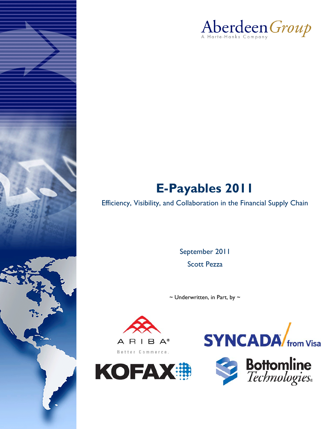

# **E-Payables 2011**

Efficiency, Visibility, and Collaboration in the Financial Supply Chain

September 2011 Scott Pezza

 $\sim$  Underwritten, in Part, by  $\sim$ 







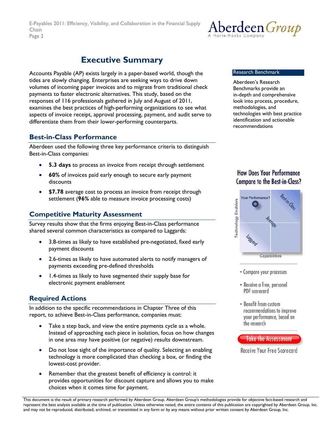

## **Executive Summary**

<span id="page-1-0"></span>Accounts Payable (AP) exists largely in a paper-based world, though the tides are slowly changing. Enterprises are seeking ways to drive down volumes of incoming paper invoices and to migrate from traditional check payments to faster electronic alternatives. This study, based on the responses of 116 professionals gathered in July and August of 2011, examines the best practices of high-performing organizations to see what aspects of invoice receipt, approval processing, payment, and audit serve to differentiate them from their lower-performing counterparts.

### **Best-in-Class Performance**

Aberdeen used the following three key performance criteria to distinguish Best-in-Class companies:

- **5.3 days** to process an invoice from receipt through settlement
- **60%** of invoices paid early enough to secure early payment discounts
- **\$7.78** average cost to process an invoice from receipt through settlement (**96%** able to measure invoice processing costs)

### **Competitive Maturity Assessment**

Survey results show that the firms enjoying Best-in-Class performance shared several common characteristics as compared to Laggards:

- 3.8-times as likely to have established pre-negotiated, fixed early payment discounts
- 2.6-times as likely to have automated alerts to notify managers of payments exceeding pre-defined thresholds
- 1.4-times as likely to have segmented their supply base for electronic payment enablement

### **Required Actions**

In addition to the specific recommendations in Chapter Three of this report, to achieve Best-in-Class performance, companies must:

- Take a step back, and view the entire payments cycle as a whole. Instead of approaching each piece in isolation, focus on how changes in one area may have positive (or negative) results downstream.
- Do not lose sight of the importance of quality. Selecting an enabling technology is more complicated than checking a box, or finding the lowest-cost provider.
- Remember that the greatest benefit of efficiency is control: it provides opportunities for discount capture and allows you to make choices when it comes time for payment.

#### Research Benchmark

Aberdeen's Research Benchmarks provide an in-depth and comprehensive look into process, procedure, methodologies, and technologies with best practice identification and actionable recommendations

### **How Does Your Performance Compare to the Best-in-Class?**



- Compare your processes
- Receive a free, personal PDF scorecard
- Benefit from custom recommendations to improve your performance, based on the research



Receive Your Free Scorecard

*© 2011 Aberdeen Group. Telephone: 617 854 5200*  This document is the result of primary research performed by Aberdeen Group. Aberdeen Group's methodologies provide for objective fact-based research and represent the best analysis available at the time of publication. Unless otherwise noted, the entire contents of this publication are copyrighted by Aberdeen Group, Inc. and may not be reproduced, distributed, archived, or transmitted in any form or by any means without prior written consent by Aberdeen Group, Inc.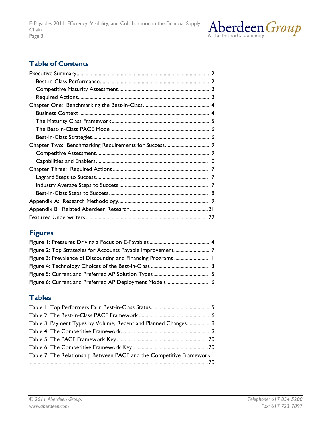

### **Table of Contents**

### **Figures**

| Figure 2: Top Strategies for Accounts Payable Improvement7 |  |
|------------------------------------------------------------|--|
|                                                            |  |
|                                                            |  |
|                                                            |  |
| Figure 6: Current and Preferred AP Deployment Models 16    |  |
|                                                            |  |

### **Tables**

| Table 3: Payment Types by Volume, Recent and Planned Changes 8       |  |
|----------------------------------------------------------------------|--|
|                                                                      |  |
|                                                                      |  |
|                                                                      |  |
| Table 7: The Relationship Between PACE and the Competitive Framework |  |
|                                                                      |  |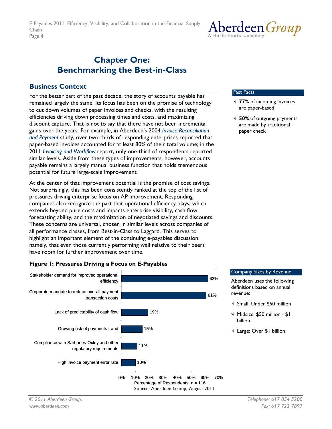## <span id="page-3-0"></span>**Chapter One: Benchmarking the Best-in-Class**

### **Business Context**

For the better part of the past decade, the story of accounts payable has remained largely the same. Its focus has been on the promise of technology to cut down volumes of paper invoices and checks, with the resulting efficiencies driving down processing times and costs, and maximizing discount capture. That is not to say that there have not been incremental gains over the years. For example, in Aberdeen's 2004 *[Invoice Reconciliation](http://www.aberdeen.com/aberdeen-library/379/invoicereconciliation.aspx)  [and Payment](http://www.aberdeen.com/aberdeen-library/379/invoicereconciliation.aspx)* study, over two-thirds of responding enterprises reported that paper-based invoices accounted for at least 80% of their total volume; in the 2011 *[Invoicing and Workflow](http://www.aberdeen.com/Aberdeen-Library/6997/RA-workflow-invoice-processing.aspx)* report, only one-third of respondents reported similar levels. Aside from these types of improvements, however, accounts payable remains a largely manual business function that holds tremendous potential for future large-scale improvement.

At the center of that improvement potential is the promise of cost savings. Not surprisingly, this has been consistently ranked at the top of the list of pressures driving enterprise focus on AP improvement. Responding companies also recognize the part that operational efficiency plays, which extends beyond pure costs and impacts enterprise visibility, cash flow forecasting ability, and the maximization of negotiated savings and discounts. These concerns are universal, chosen in similar levels across companies of all performance classes, from Best-in-Class to Laggard. This serves to highlight an important element of the continuing e-payables discussion: namely, that even those currently performing well relative to their peers have room for further improvement over time.

### **Figure 1: Pressures Driving a Focus on E-Payables**



#### Fast Facts

√ **77%** of incoming invoices are paper-based

Aberdeen *Group* 

√ **50%** of outgoing payments are made by traditional paper check

#### Company Sizes by Revenue

Aberdeen uses the following definitions based on annual revenue:

- $\sqrt{\ }$  Small: Under \$50 million
- $\sqrt{\phantom{a}}$  Midsize: \$50 million \$1 billion
- √ Large: Over \$1 billion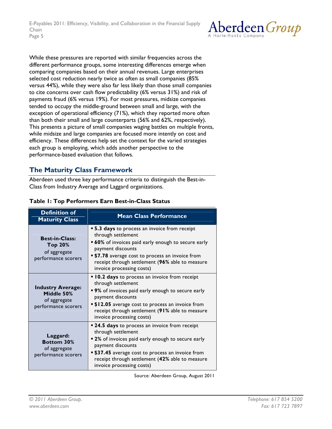

<span id="page-4-0"></span>While these pressures are reported with similar frequencies across the different performance groups, some interesting differences emerge when comparing companies based on their annual revenues. Large enterprises selected cost reduction nearly twice as often as small companies (85% versus 44%), while they were also far less likely than those small companies to cite concerns over cash flow predictability (6% versus 31%) and risk of payments fraud (6% versus 19%). For most pressures, midsize companies tended to occupy the middle-ground between small and large, with the exception of operational efficiency (71%), which they reported more often than both their small and large counterparts (56% and 62%, respectively). This presents a picture of small companies waging battles on multiple fronts, while midsize and large companies are focused more intently on cost and efficiency. These differences help set the context for the varied strategies each group is employing, which adds another perspective to the performance-based evaluation that follows.

### **The Maturity Class Framework**

Aberdeen used three key performance criteria to distinguish the Best-in-Class from Industry Average and Laggard organizations.

| <b>Definition of</b><br><b>Maturity Class</b>                                  | <b>Mean Class Performance</b>                                                                                                                                                                                                                                                                     |  |
|--------------------------------------------------------------------------------|---------------------------------------------------------------------------------------------------------------------------------------------------------------------------------------------------------------------------------------------------------------------------------------------------|--|
| <b>Best-in-Class:</b><br><b>Top 20%</b><br>of aggregate<br>performance scorers | <b>5.3 days</b> to process an invoice from receipt<br>through settlement<br>• 60% of invoices paid early enough to secure early<br>payment discounts<br><b>\$7.78</b> average cost to process an invoice from<br>receipt through settlement (96% able to measure<br>invoice processing costs)     |  |
| <b>Industry Average:</b><br>Middle 50%<br>of aggregate<br>performance scorers  | <b>I 0.2 days</b> to process an invoice from receipt<br>through settlement<br>■ 9% of invoices paid early enough to secure early<br>payment discounts<br><b>. \$12.05</b> average cost to process an invoice from<br>receipt through settlement (91% able to measure<br>invoice processing costs) |  |
| Laggard:<br><b>Bottom 30%</b><br>of aggregate<br>performance scorers           | ■ 24.5 days to process an invoice from receipt<br>through settlement<br>" 2% of invoices paid early enough to secure early<br>payment discounts<br><b>. \$37.45</b> average cost to process an invoice from<br>receipt through settlement (42% able to measure<br>invoice processing costs)       |  |

### **Table 1: Top Performers Earn Best-in-Class Status**

Source: Aberdeen Group, August 2011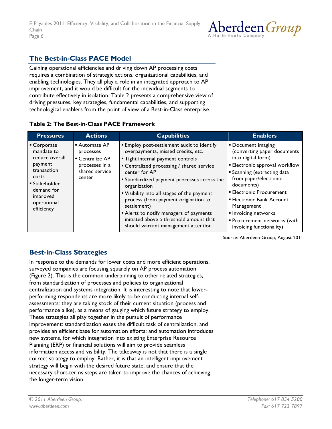

### <span id="page-5-0"></span>**The Best-in-Class PACE Model**

Gaining operational efficiencies and driving down AP processing costs requires a combination of strategic actions, organizational capabilities, and enabling technologies. They all play a role in an integrated approach to AP improvement, and it would be difficult for the individual segments to contribute effectively in isolation. Table 2 presents a comprehensive view of driving pressures, key strategies, fundamental capabilities, and supporting technological enablers from the point of view of a Best-in-Class enterprise.

### **Table 2: The Best-in-Class PACE Framework**

| <b>Pressures</b>                                                                                                                                                    | <b>Actions</b>                                                                              | <b>Capabilities</b>                                                                                                                                                                                                                                                                                                                                                                                                                                                                           | <b>Enablers</b>                                                                                                                                                                                                                                                                                                                                                   |
|---------------------------------------------------------------------------------------------------------------------------------------------------------------------|---------------------------------------------------------------------------------------------|-----------------------------------------------------------------------------------------------------------------------------------------------------------------------------------------------------------------------------------------------------------------------------------------------------------------------------------------------------------------------------------------------------------------------------------------------------------------------------------------------|-------------------------------------------------------------------------------------------------------------------------------------------------------------------------------------------------------------------------------------------------------------------------------------------------------------------------------------------------------------------|
| • Corporate<br>mandate to<br>reduce overall<br>payment<br>transaction<br>costs<br>$\blacksquare$ Stakeholder<br>demand for<br>improved<br>operational<br>efficiency | ■ Automate AP<br>processes<br>■ Centralize AP<br>processes in a<br>shared service<br>center | <b>Employ post-settlement audit to identify</b><br>overpayments, missed credits, etc.<br>" Tight internal payment controls<br>■ Centralized processing / shared service<br>center for AP<br><b>Standardized payment processes across the</b><br>organization<br>" Visibility into all stages of the payment<br>process (from payment origination to<br>settlement)<br>Alerts to notify managers of payments<br>initiated above a threshold amount that<br>should warrant management attention | • Document imaging<br>(converting paper documents<br>into digital form)<br><b>Electronic approval workflow</b><br><b>Scanning (extracting data</b><br>from paper/electronic<br>documents)<br><b>Electronic Procurement</b><br><b>Electronic Bank Account</b><br>Management<br>Invoicing networks<br><b>Procurement networks (with</b><br>invoicing functionality) |

Source: Aberdeen Group, August 2011

### **Best-in-Class Strategies**

In response to the demands for lower costs and more efficient operations, surveyed companies are focusing squarely on AP process automation (Figure 2). This is the common underpinning to other related strategies, from standardization of processes and policies to organizational centralization and systems integration. It is interesting to note that lowerperforming respondents are more likely to be conducting internal selfassessments: they are taking stock of their current situation (process and performance alike), as a means of gauging which future strategy to employ. These strategies all play together in the pursuit of performance improvement: standardization eases the difficult task of centralization, and provides an efficient base for automation efforts; and automation introduces new systems, for which integration into existing Enterprise Resource Planning (ERP) or financial solutions will aim to provide seamless information access and visibility. The takeaway is not that there is a single correct strategy to employ. Rather, it is that an intelligent improvement strategy will begin with the desired future state, and ensure that the necessary short-terms steps are taken to improve the chances of achieving the longer-term vision.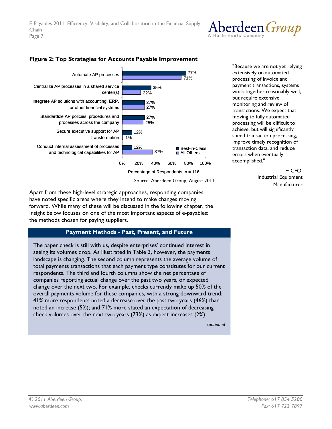



#### <span id="page-6-0"></span>**Figure 2: Top Strategies for Accounts Payable Improvement**

Apart from these high-level strategic approaches, responding companies have noted specific areas where they intend to make changes moving forward. While many of these will be discussed in the following chapter, the Insight below focuses on one of the most important aspects of e-payables: the methods chosen for paying suppliers.

### **Payment Methods - Past, Present, and Future**

The paper check is still with us, despite enterprises' continued interest in seeing its volumes drop. As illustrated in Table 3, however, the payments landscape is changing. The second column represents the average volume of total payments transactions that each payment type constitutes for our current respondents. The third and fourth columns show the net percentage of companies reporting actual change over the past two years, or expected change over the next two. For example, checks currently make up 50% of the overall payments volume for these companies, with a strong downward trend: 41% more respondents noted a decrease over the past two years (46%) than noted an increase (5%); and 71% more stated an expectation of decreasing check volumes over the next two years (73%) as expect increases (2%).

*continued* 

"Because we are not yet relying extensively on automated processing of invoice and payment transactions, systems work together reasonably well, but require extensive monitoring and review of transactions. We expect that moving to fully automated processing will be difficult to achieve, but will significantly speed transaction processing, improve timely recognition of transaction data, and reduce errors when eventually accomplished."

> $~\sim$  CFO. Industrial Equipment Manufacturer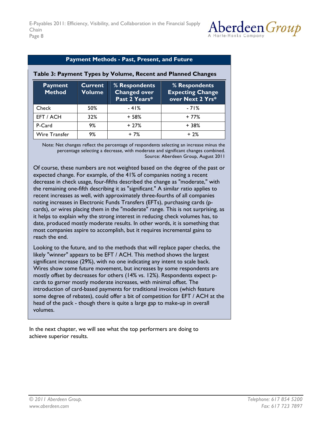

### **Payment Methods - Past, Present, and Future**

| <b>Payment</b><br><b>Method</b> | <b>Current</b><br>Volume | % Respondents<br><b>Changed over</b><br>Past 2 Years* | % Respondents<br><b>Expecting Change</b><br>over Next 2 Yrs* |
|---------------------------------|--------------------------|-------------------------------------------------------|--------------------------------------------------------------|
| Check                           | 50%                      | $-41%$                                                | $-71%$                                                       |
| EFT / ACH                       | 32%                      | $+58%$                                                | $+77%$                                                       |
| P-Card                          | 9%                       | $+27%$                                                | $+38%$                                                       |
| Wire Transfer                   | 9%                       | + 7%                                                  | $+2%$                                                        |

#### <span id="page-7-0"></span>**Table 3: Payment Types by Volume, Recent and Planned Changes**

Note: Net changes reflect the percentage of respondents selecting an increase minus the percentage selecting a decrease, with moderate and significant changes combined. Source: Aberdeen Group, August 2011

Of course, these numbers are not weighted based on the degree of the past or expected change. For example, of the 41% of companies noting a recent decrease in check usage, four-fifths described the change as "moderate," with the remaining one-fifth describing it as "significant." A similar ratio applies to recent increases as well, with approximately three-fourths of all companies noting increases in Electronic Funds Transfers (EFTs), purchasing cards (pcards), or wires placing them in the "moderate" range. This is not surprising, as it helps to explain why the strong interest in reducing check volumes has, to date, produced mostly moderate results. In other words, it is something that most companies aspire to accomplish, but it requires incremental gains to reach the end.

Looking to the future, and to the methods that will replace paper checks, the likely "winner" appears to be EFT / ACH. This method shows the largest significant increase (29%), with no one indicating any intent to scale back. Wires show some future movement, but increases by some respondents are mostly offset by decreases for others (14% vs. 12%). Respondents expect pcards to garner mostly moderate increases, with minimal offset. The introduction of card-based payments for traditional invoices (which feature some degree of rebates), could offer a bit of competition for EFT / ACH at the head of the pack - though there is quite a large gap to make-up in overall volumes.

In the next chapter, we will see what the top performers are doing to achieve superior results.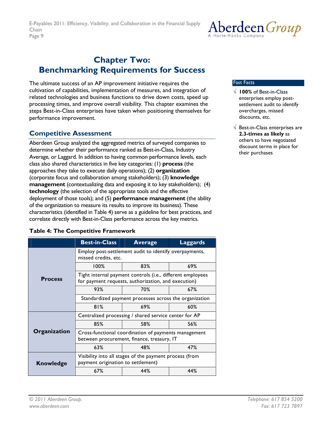## <span id="page-8-0"></span>**Chapter Two: Benchmarking Requirements for Success**

The ultimate success of an AP improvement initiative requires the cultivation of capabilities, implementation of measures, and integration of related technologies and business functions to drive down costs, speed up processing times, and improve overall visibility. This chapter examines the steps Best-in-Class enterprises have taken when positioning themselves for performance improvement.

### **Competitive Assessment**

Aberdeen Group analyzed the aggregated metrics of surveyed companies to determine whether their performance ranked as Best-in-Class, Industry Average, or Laggard. In addition to having common performance levels, each class also shared characteristics in five key categories: (1) **process** (the approaches they take to execute daily operations); (2) **organization** (corporate focus and collaboration among stakeholders); (3) **knowledge management** (contextualizing data and exposing it to key stakeholders); (4) **technology** (the selection of the appropriate tools and the effective deployment of those tools); and (5) **performance management** (the ability of the organization to measure its results to improve its business). These characteristics (identified in Table 4) serve as a guideline for best practices, and correlate directly with Best-in-Class performance across the key metrics.

### **Table 4: The Competitive Framework**

|                  | <b>Best-in-Class</b>                                                                                              | <b>Average</b> | <b>Laggards</b> |
|------------------|-------------------------------------------------------------------------------------------------------------------|----------------|-----------------|
|                  | Employ post-settlement audit to identify overpayments,<br>missed credits, etc.                                    |                |                 |
|                  | 100%                                                                                                              | 83%            | 69%             |
| <b>Process</b>   | Tight internal payment controls (i.e., different employees<br>for payment requests, authorization, and execution) |                |                 |
|                  | 93%                                                                                                               | 70%            | 67%             |
|                  | Standardized payment processes across the organization                                                            |                |                 |
|                  | 81%                                                                                                               | 69%            | 60%             |
|                  | Centralized processing / shared service center for AP                                                             |                |                 |
|                  | 85%                                                                                                               | 58%            | 56%             |
| Organization     | Cross-functional coordination of payments management<br>between procurement, finance, treasury, IT                |                |                 |
|                  | 63%                                                                                                               | 48%            | 47%             |
| <b>Knowledge</b> | Visibility into all stages of the payment process (from<br>payment origination to settlement)                     |                |                 |
|                  | 67%                                                                                                               | 44%            | 44%             |



#### Fast Facts

- √ **100%** of Best-in-Class enterprises employ postsettlement audit to identify overcharges, missed discounts, etc.
- $\sqrt{ }$  Best-in-Class enterprises are **2.3-times as likely** as others to have negotiated discount terms in place for their purchases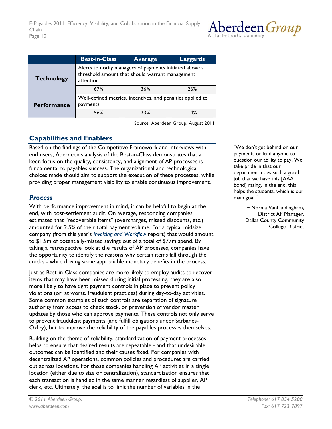

<span id="page-9-0"></span>

|                    | <b>Best-in-Class</b>                                                                                                    | <b>Average</b> | <b>Laggards</b> |
|--------------------|-------------------------------------------------------------------------------------------------------------------------|----------------|-----------------|
| <b>Technology</b>  | Alerts to notify managers of payments initiated above a<br>threshold amount that should warrant management<br>attention |                |                 |
|                    | 67%                                                                                                                     | 36%            | 26%             |
| <b>Performance</b> | Well-defined metrics, incentives, and penalties applied to<br>payments                                                  |                |                 |
|                    | 56%                                                                                                                     | 23%            | 4% ا            |

Source: Aberdeen Group, August 2011

### **Capabilities and Enablers**

Based on the findings of the Competitive Framework and interviews with end users, Aberdeen's analysis of the Best-in-Class demonstrates that a keen focus on the quality, consistency, and alignment of AP processes is fundamental to payables success. The organizational and technological choices made should aim to support the execution of these processes, while providing proper management visibility to enable continuous improvement.

### *Process*

With performance improvement in mind, it can be helpful to begin at the end, with post-settlement audit. On average, responding companies estimated that "recoverable items" (overcharges, missed discounts, etc.) amounted for 2.5% of their total payment volume. For a typical midsize company (from this year's *[Invoicing and Workflow](http://www.aberdeen.com/Aberdeen-Library/6997/RA-workflow-invoice-processing.aspx)* report) that would amount to \$1.9m of potentially-missed savings out of a total of \$77m spend. By taking a retrospective look at the results of AP processes, companies have the opportunity to identify the reasons why certain items fall through the cracks - while driving some appreciable monetary benefits in the process.

Just as Best-in-Class companies are more likely to employ audits to recover items that may have been missed during initial processing, they are also more likely to have tight payment controls in place to prevent policy violations (or, at worst, fraudulent practices) during day-to-day activities. Some common examples of such controls are separation of signature authority from access to check stock, or prevention of vendor master updates by those who can approve payments. These controls not only serve to prevent fraudulent payments (and fulfill obligations under Sarbanes-Oxley), but to improve the reliability of the payables processes themselves.

Building on the theme of reliability, standardization of payment processes helps to ensure that desired results are repeatable - and that undesirable outcomes can be identified and their causes fixed. For companies with decentralized AP operations, common policies and procedures are carried out across locations. For those companies handling AP activities in a single location (either due to size or centralization), standardization ensures that each transaction is handled in the same manner regardless of supplier, AP clerk, etc. Ultimately, the goal is to limit the number of variables in the

"We don't get behind on our payments or lead anyone to question our ability to pay. We take pride in that our department does such a good job that we have this [AAA bond] rating. In the end, this helps the students, which is our main goal."

> ~ Norma VanLandingham, District AP Manager, Dallas County Community College District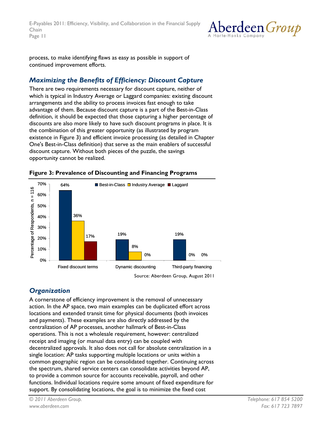<span id="page-10-0"></span>E-Payables 2011: Efficiency, Visibility, and Collaboration in the Financial Supply Chain Page 11



process, to make identifying flaws as easy as possible in support of continued improvement efforts.

### *Maximizing the Benefits of Efficiency: Discount Capture*

There are two requirements necessary for discount capture, neither of which is typical in Industry Average or Laggard companies: existing discount arrangements and the ability to process invoices fast enough to take advantage of them. Because discount capture is a part of the Best-in-Class definition, it should be expected that those capturing a higher percentage of discounts are also more likely to have such discount programs in place. It is the combination of this greater opportunity (as illustrated by program existence in Figure 3) and efficient invoice processing (as detailed in Chapter One's Best-in-Class definition) that serve as the main enablers of successful discount capture. Without both pieces of the puzzle, the savings opportunity cannot be realized.



### **Figure 3: Prevalence of Discounting and Financing Programs**

### *Organization*

A cornerstone of efficiency improvement is the removal of unnecessary action. In the AP space, two main examples can be duplicated effort across locations and extended transit time for physical documents (both invoices and payments). These examples are also directly addressed by the centralization of AP processes, another hallmark of Best-in-Class operations. This is not a wholesale requirement, however: centralized receipt and imaging (or manual data entry) can be coupled with decentralized approvals. It also does not call for absolute centralization in a single location: AP tasks supporting multiple locations or units within a common geographic region can be consolidated together. Continuing across the spectrum, shared service centers can consolidate activities beyond AP, to provide a common source for accounts receivable, payroll, and other functions. Individual locations require some amount of fixed expenditure for support. By consolidating locations, the goal is to minimize the fixed cost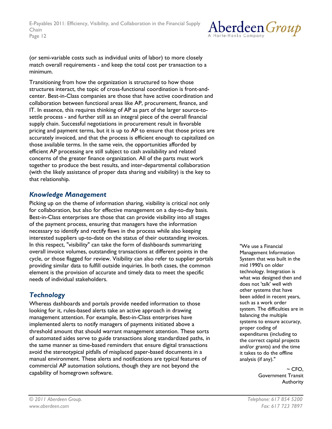

(or semi-variable costs such as individual units of labor) to more closely match overall requirements - and keep the total cost per transaction to a minimum.

Transitioning from how the organization is structured to how those structures interact, the topic of cross-functional coordination is front-andcenter. Best-in-Class companies are those that have active coordination and collaboration between functional areas like AP, procurement, finance, and IT. In essence, this requires thinking of AP as part of the larger source-tosettle process - and further still as an integral piece of the overall financial supply chain. Successful negotiations in procurement result in favorable pricing and payment terms, but it is up to AP to ensure that those prices are accurately invoiced, and that the process is efficient enough to capitalized on those available terms. In the same vein, the opportunities afforded by efficient AP processing are still subject to cash availability and related concerns of the greater finance organization. All of the parts must work together to produce the best results, and inter-departmental collaboration (with the likely assistance of proper data sharing and visibility) is the key to that relationship.

### *Knowledge Management*

Picking up on the theme of information sharing, visibility is critical not only for collaboration, but also for effective management on a day-to-day basis. Best-in-Class enterprises are those that can provide visibility into all stages of the payment process, ensuring that managers have the information necessary to identify and rectify flaws in the process while also keeping interested suppliers up-to-date on the status of their outstanding invoices. In this respect, "visibility" can take the form of dashboards summarizing overall invoice volumes, outstanding transactions at different points in the cycle, or those flagged for review. Visibility can also refer to supplier portals providing similar data to fulfill outside inquiries. In both cases, the common element is the provision of accurate and timely data to meet the specific needs of individual stakeholders.

### *Technology*

Whereas dashboards and portals provide needed information to those looking for it, rules-based alerts take an active approach in drawing management attention. For example, Best-in-Class enterprises have implemented alerts to notify managers of payments initiated above a threshold amount that should warrant management attention. These sorts of automated aides serve to guide transactions along standardized paths, in the same manner as time-based reminders that ensure digital transactions avoid the stereotypical pitfalls of misplaced paper-based documents in a manual environment. These alerts and notifications are typical features of commercial AP automation solutions, though they are not beyond the capability of homegrown software.

"We use a Financial Management Information System that was built in the mid 1990's on older technology. Integration is what was designed then and does not 'talk' well with other systems that have been added in recent years, such as a work order system. The difficulties are in balancing the multiple systems to ensure accuracy, proper coding of expenditures (including to the correct capital projects and/or grants) and the time it takes to do the offline analysis (if any)."

> $~\sim$  CFO, Government Transit Authority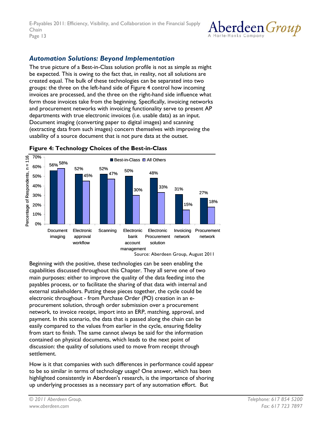

### <span id="page-12-0"></span>*Automation Solutions: Beyond Implementation*

The true picture of a Best-in-Class solution profile is not as simple as might be expected. This is owing to the fact that, in reality, not all solutions are created equal. The bulk of these technologies can be separated into two groups: the three on the left-hand side of Figure 4 control how incoming invoices are processed, and the three on the right-hand side influence what form those invoices take from the beginning. Specifically, invoicing networks and procurement networks with invoicing functionality serve to present AP departments with true electronic invoices (i.e. usable data) as an input. Document imaging (converting paper to digital images) and scanning (extracting data from such images) concern themselves with improving the usability of a source document that is not pure data at the outset.



**Figure 4: Technology Choices of the Best-in-Class** 

Source: Aberdeen Group, August 2011

Beginning with the positive, these technologies can be seen enabling the capabilities discussed throughout this Chapter. They all serve one of two main purposes: either to improve the quality of the data feeding into the payables process, or to facilitate the sharing of that data with internal and external stakeholders. Putting these pieces together, the cycle could be electronic throughout - from Purchase Order (PO) creation in an eprocurement solution, through order submission over a procurement network, to invoice receipt, import into an ERP, matching, approval, and payment. In this scenario, the data that is passed along the chain can be easily compared to the values from earlier in the cycle, ensuring fidelity from start to finish. The same cannot always be said for the information contained on physical documents, which leads to the next point of discussion: the quality of solutions used to move from receipt through settlement.

How is it that companies with such differences in performance could appear to be so similar in terms of technology usage? One answer, which has been highlighted consistently in Aberdeen's research, is the importance of shoring up underlying processes as a necessary part of any automation effort. But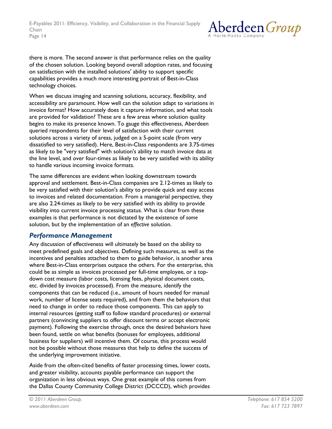

there is more. The second answer is that performance relies on the quality of the chosen solution. Looking beyond overall adoption rates, and focusing on satisfaction with the installed solutions' ability to support specific capabilities provides a much more interesting portrait of Best-in-Class technology choices.

When we discuss imaging and scanning solutions, accuracy, flexibility, and accessibility are paramount. How well can the solution adapt to variations in invoice format? How accurately does it capture information, and what tools are provided for validation? These are a few areas where solution quality begins to make its presence known. To gauge this effectiveness, Aberdeen queried respondents for their level of satisfaction with their current solutions across a variety of areas, judged on a 5-point scale (from very dissatisfied to very satisfied). Here, Best-in-Class respondents are 3.75-times as likely to be "very satisfied" with solution's ability to match invoice data at the line level, and over four-times as likely to be very satisfied with its ability to handle various incoming invoice formats.

The same differences are evident when looking downstream towards approval and settlement. Best-in-Class companies are 2.12-times as likely to be very satisfied with their solution's ability to provide quick and easy access to invoices and related documentation. From a managerial perspective, they are also 2.24-times as likely to be very satisfied with its ability to provide visibility into current invoice processing status. What is clear from these examples is that performance is not dictated by the existence of *some* solution, but by the implementation of an *effective* solution.

### *Performance Management*

Any discussion of effectiveness will ultimately be based on the ability to meet predefined goals and objectives. Defining such measures, as well as the incentives and penalties attached to them to guide behavior, is another area where Best-in-Class enterprises outpace the others. For the enterprise, this could be as simple as invoices processed per full-time employee, or a topdown cost measure (labor costs, licensing fees, physical document costs, etc. divided by invoices processed). From the measure, identify the components that can be reduced (i.e., amount of hours needed for manual work, number of license seats required), and from them the behaviors that need to change in order to reduce those components. This can apply to internal resources (getting staff to follow standard procedures) or external partners (convincing suppliers to offer discount terms or accept electronic payment). Following the exercise through, once the desired behaviors have been found, settle on what benefits (bonuses for employees, additional business for suppliers) will incentive them. Of course, this process would not be possible without those measures that help to define the success of the underlying improvement initiative.

Aside from the often-cited benefits of faster processing times, lower costs, and greater visibility, accounts payable performance can support the organization in less obvious ways. One great example of this comes from the Dallas County Community College District (DCCCD), which provides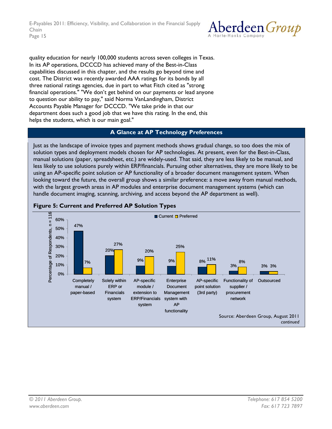<span id="page-14-0"></span>E-Payables 2011: Efficiency, Visibility, and Collaboration in the Financial Supply Chain Page 15



quality education for nearly 100,000 students across seven colleges in Texas. In its AP operations, DCCCD has achieved many of the Best-in-Class capabilities discussed in this chapter, and the results go beyond time and cost. The District was recently awarded AAA ratings for its bonds by all three national ratings agencies, due in part to what Fitch cited as "strong financial operations." "We don't get behind on our payments or lead anyone to question our ability to pay," said Norma VanLandingham, District Accounts Payable Manager for DCCCD. "We take pride in that our department does such a good job that we have this rating. In the end, this helps the students, which is our main goal."

#### **A Glance at AP Technology Preferences**

Just as the landscape of invoice types and payment methods shows gradual change, so too does the mix of solution types and deployment models chosen for AP technologies. At present, even for the Best-in-Class, manual solutions (paper, spreadsheet, etc.) are widely-used. That said, they are less likely to be manual, and less likely to use solutions purely within ERP/financials. Pursuing other alternatives, they are more likely to be using an AP-specific point solution or AP functionality of a broader document management system. When looking toward the future, the overall group shows a similar preference: a move away from manual methods, with the largest growth areas in AP modules and enterprise document management systems (which can handle document imaging, scanning, archiving, and access beyond the AP department as well).



#### **Figure 5: Current and Preferred AP Solution Types**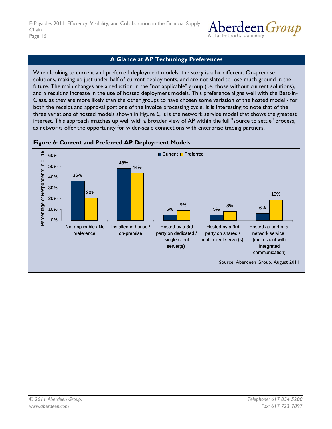

### **A Glance at AP Technology Preferences**

<span id="page-15-0"></span>When looking to current and preferred deployment models, the story is a bit different. On-premise solutions, making up just under half of current deployments, and are not slated to lose much ground in the future. The main changes are a reduction in the "not applicable" group (i.e. those without current solutions), and a resulting increase in the use of hosted deployment models. This preference aligns well with the Best-in-Class, as they are more likely than the other groups to have chosen some variation of the hosted model - for both the receipt and approval portions of the invoice processing cycle. It is interesting to note that of the three variations of hosted models shown in Figure 6, it is the network service model that shows the greatest interest. This approach matches up well with a broader view of AP within the full "source to settle" process, as networks offer the opportunity for wider-scale connections with enterprise trading partners.



#### **Figure 6: Current and Preferred AP Deployment Models**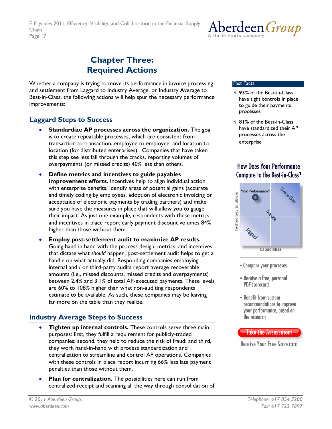

## **Chapter Three: Required Actions**

<span id="page-16-0"></span>Whether a company is trying to move its performance in invoice processing and settlement from Laggard to Industry Average, or Industry Average to Best-in-Class, the following actions will help spur the necessary performance improvements:

### **Laggard Steps to Success**

- **Standardize AP processes across the organization.** The goal is to create repeatable processes, which are consistent from transaction to transaction, employee to employee, and location to location (for distributed enterprises). Companies that have taken this step see less fall through the cracks, reporting volumes of overpayments (or missed credits) 40% less than others.
- **Define metrics and incentives to guide payables improvement efforts.** Incentives help to align individual action with enterprise benefits. Identify areas of potential gains (accurate and timely coding by employees, adoption of electronic invoicing or acceptance of electronic payments by trading partners) and make sure you have the measures in place that will allow you to gauge their impact. As just one example, respondents with these metrics and incentives in place report early payment discount volumes 84% higher than those without them.
- **Employ post-settlement audit to maximize AP results.** Going hand in hand with the process design, metrics, and incentives that dictate what *should* happen, post-settlement audit helps to get a handle on what actually did. Responding companies employing internal and / or third-party audits report average recoverable amounts (i.e., missed discounts, missed credits and overpayments) between 2.4% and 3.1% of total AP-executed payments. These levels are 60% to 108% higher than what non-auditing respondents estimate to be available. As such, these companies may be leaving far more on the table than they realize.

### **Industry Average Steps to Success**

- **Tighten up internal controls.** These controls serve three main purposes: first, they fulfill a requirement for publicly-traded companies; second, they help to reduce the risk of fraud; and third, they work hand-in-hand with process standardization and centralization to streamline and control AP operations. Companies with these controls in place report incurring 66% less late payment penalties than those without them.
- **Plan for centralization.** The possibilities here can run from centralized receipt and scanning all the way through consolidation of

#### Fast Facts

- √ **93%** of the Best-in-Class have tight controls in place to guide their payments processes
- √ **81%** of the Best-in-Class have standardized their AP processes across the enterprise

### **How Does Your Performance Compare to the Best-in-Class?**



- Compare your processes
- Receive a free, personal PDF scorecard
- Benefit from custom recommendations to improve your performance, based on the research



Receive Your Free Scorecard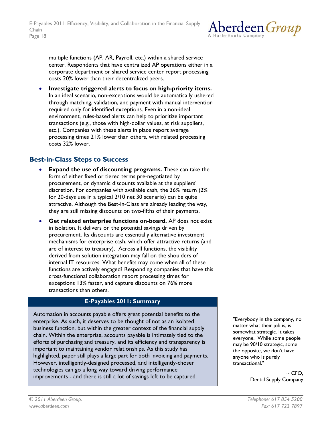

<span id="page-17-0"></span>multiple functions (AP, AR, Payroll, etc.) within a shared service center. Respondents that have centralized AP operations either in a corporate department or shared service center report processing costs 20% lower than their decentralized peers.

• **Investigate triggered alerts to focus on high-priority items.** In an ideal scenario, non-exceptions would be automatically ushered through matching, validation, and payment with manual intervention required only for identified exceptions. Even in a non-ideal environment, rules-based alerts can help to prioritize important transactions (e.g., those with high-dollar values, at risk suppliers, etc.). Companies with these alerts in place report average processing times 21% lower than others, with related processing costs 32% lower.

### **Best-in-Class Steps to Success**

- **Expand the use of discounting programs.** These can take the form of either fixed or tiered terms pre-negotiated by procurement, or dynamic discounts available at the suppliers' discretion. For companies with available cash, the 36% return (2% for 20-days use in a typical 2/10 net 30 scenario) can be quite attractive. Although the Best-in-Class are already leading the way, they are still missing discounts on two-fifths of their payments.
- **Get related enterprise functions on-board.** AP does not exist in isolation. It delivers on the potential savings driven by procurement. Its discounts are essentially alternative investment mechanisms for enterprise cash, which offer attractive returns (and are of interest to treasury). Across all functions, the visibility derived from solution integration may fall on the shoulders of internal IT resources. What benefits may come when all of these functions are actively engaged? Responding companies that have this cross-functional collaboration report processing times for exceptions 13% faster, and capture discounts on 76% more transactions than others.

#### **E-Payables 2011: Summary**

Automation in accounts payable offers great potential benefits to the enterprise. As such, it deserves to be thought of not as an isolated business function, but within the greater context of the financial supply chain. Within the enterprise, accounts payable is intimately tied to the efforts of purchasing and treasury, and its efficiency and transparency is important to maintaining vendor relationships. As this study has highlighted, paper still plays a large part for both invoicing and payments. However, intelligently-designed processed, and intelligently-chosen technologies can go a long way toward driving performance improvements - and there is still a lot of savings left to be captured.

"Everybody in the company, no matter what their job is, is somewhat strategic. It takes everyone. While some people may be 90/10 strategic, some the opposite, we don't have anyone who is purely transactional."

> $~\sim$  CFO. Dental Supply Company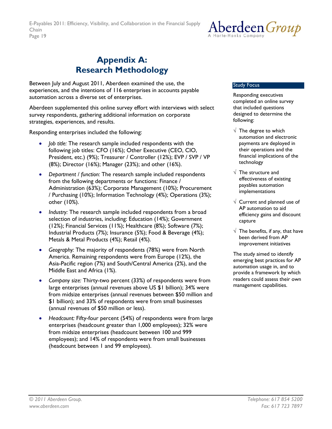

## **Appendix A: Research Methodology**

<span id="page-18-0"></span>Between July and August 2011, Aberdeen examined the use, the experiences, and the intentions of 116 enterprises in accounts payable automation across a diverse set of enterprises.

Aberdeen supplemented this online survey effort with interviews with select survey respondents, gathering additional information on corporate strategies, experiences, and results.

Responding enterprises included the following:

- *Job title:* The research sample included respondents with the following job titles: CFO (16%); Other Executive (CEO, CIO, President, etc.) (9%); Treasurer / Controller (12%); EVP / SVP / VP (8%); Director (16%); Manager (23%); and other (16%).
- *Department / function:* The research sample included respondents from the following departments or functions: Finance / Administration (63%); Corporate Management (10%); Procurement / Purchasing (10%); Information Technology (4%); Operations (3%); other (10%).
- *Industry:* The research sample included respondents from a broad selection of industries, including: Education (14%); Government (12%); Financial Services (11%); Healthcare (8%); Software (7%); Industrial Products (7%); Insurance (5%); Food & Beverage (4%); Metals & Metal Products (4%); Retail (4%).
- *Geography:* The majority of respondents (78%) were from North America. Remaining respondents were from Europe (12%), the Asia-Pacific region (7%) and South/Central America (2%), and the Middle East and Africa (1%).
- *Company size:* Thirty-two percent (33%) of respondents were from large enterprises (annual revenues above US \$1 billion); 34% were from midsize enterprises (annual revenues between \$50 million and \$1 billion); and 33% of respondents were from small businesses (annual revenues of \$50 million or less).
- *Headcount:* Fifty-four percent (54%) of respondents were from large enterprises (headcount greater than 1,000 employees); 32% were from midsize enterprises (headcount between 100 and 999 employees); and 14% of respondents were from small businesses (headcount between 1 and 99 employees).

#### Study Focus

Responding executives completed an online survey that included questions designed to determine the following:

- $\sqrt{\phantom{a}}$  The degree to which automation and electronic payments are deployed in their operations and the financial implications of the technology
- $\sqrt{\phantom{a}}$  The structure and effectiveness of existing payables automation implementations
- $\sqrt{ }$  Current and planned use of AP automation to aid efficiency gains and discount capture
- $\sqrt{\phantom{a}}$  The benefits, if any, that have been derived from AP improvement initiatives

The study aimed to identify emerging best practices for AP automation usage in, and to provide a framework by which readers could assess their own management capabilities.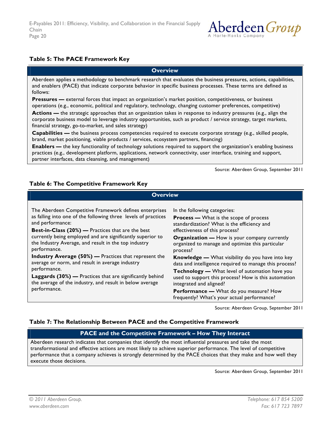

#### <span id="page-19-0"></span>**Table 5: The PACE Framework Key**

**Overview** 

Aberdeen applies a methodology to benchmark research that evaluates the business pressures, actions, capabilities, and enablers (PACE) that indicate corporate behavior in specific business processes. These terms are defined as follows:

**Pressures** — external forces that impact an organization's market position, competitiveness, or business operations (e.g., economic, political and regulatory, technology, changing customer preferences, competitive)

**Actions —** the strategic approaches that an organization takes in response to industry pressures (e.g., align the corporate business model to leverage industry opportunities, such as product / service strategy, target markets, financial strategy, go-to-market, and sales strategy)

**Capabilities —** the business process competencies required to execute corporate strategy (e.g., skilled people, brand, market positioning, viable products / services, ecosystem partners, financing)

**Enablers —** the key functionality of technology solutions required to support the organization's enabling business practices (e.g., development platform, applications, network connectivity, user interface, training and support, partner interfaces, data cleansing, and management)

Source: Aberdeen Group, September 2011

#### **Table 6: The Competitive Framework Key**

| <b>Overview</b>                                                                                                                                                                                                                                                                                                                                                                                                                                                                                                                                                                                                                  |                                                                                                                                                                                                                                                                                                                                                                                                                                                                                                                                                                                                                                                 |  |
|----------------------------------------------------------------------------------------------------------------------------------------------------------------------------------------------------------------------------------------------------------------------------------------------------------------------------------------------------------------------------------------------------------------------------------------------------------------------------------------------------------------------------------------------------------------------------------------------------------------------------------|-------------------------------------------------------------------------------------------------------------------------------------------------------------------------------------------------------------------------------------------------------------------------------------------------------------------------------------------------------------------------------------------------------------------------------------------------------------------------------------------------------------------------------------------------------------------------------------------------------------------------------------------------|--|
| The Aberdeen Competitive Framework defines enterprises<br>as falling into one of the following three levels of practices<br>and performance:<br><b>Best-in-Class (20%)</b> — Practices that are the best<br>currently being employed and are significantly superior to<br>the Industry Average, and result in the top industry<br>performance.<br><b>Industry Average (50%)</b> — Practices that represent the<br>average or norm, and result in average industry<br>performance.<br><b>Laggards (30%)</b> — Practices that are significantly behind<br>the average of the industry, and result in below average<br>performance. | In the following categories:<br><b>Process — What is the scope of process</b><br>standardization? What is the efficiency and<br>effectiveness of this process?<br><b>Organization - How is your company currently</b><br>organized to manage and optimize this particular<br>process?<br><b>Knowledge -</b> What visibility do you have into key<br>data and intelligence required to manage this process?<br>Technology - What level of automation have you<br>used to support this process? How is this automation<br>integrated and aligned?<br><b>Performance —</b> What do you measure? How<br>frequently? What's your actual performance? |  |
|                                                                                                                                                                                                                                                                                                                                                                                                                                                                                                                                                                                                                                  |                                                                                                                                                                                                                                                                                                                                                                                                                                                                                                                                                                                                                                                 |  |

Source: Aberdeen Group, September 2011

#### **Table 7: The Relationship Between PACE and the Competitive Framework**

#### **PACE and the Competitive Framework – How They Interact**

Aberdeen research indicates that companies that identify the most influential pressures and take the most transformational and effective actions are most likely to achieve superior performance. The level of competitive performance that a company achieves is strongly determined by the PACE choices that they make and how well they execute those decisions.

Source: Aberdeen Group, September 2011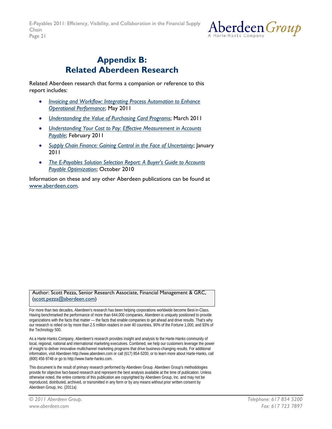

## <span id="page-20-0"></span>**Appendix B: Related Aberdeen Research**

Related Aberdeen research that forms a companion or reference to this report includes:

- *[Invoicing and Workflow: Integrating Process Automation to Enhance](http://aberdeen.com/Aberdeen-Library/6997/RA-workflow-invoice-processing.aspx)  [Operational Performance](http://aberdeen.com/Aberdeen-Library/6997/RA-workflow-invoice-processing.aspx)*; May 2011
- *[Understanding the Value of Purchasing Card Programs](http://aberdeen.com/Aberdeen-Library/7128/AI-purchasing-cards-programs.aspx)*; March 2011
- *[Understanding Your Cost to Pay: Effective Measurement in Accounts](http://aberdeen.com/Aberdeen-Library/7109/AI-accounts-payable-automation.aspx)  [Payable](http://aberdeen.com/Aberdeen-Library/7109/AI-accounts-payable-automation.aspx)*; February 2011
- *[Supply Chain Finance: Gaining Control in the Face of Uncertainty](http://aberdeen.com/aberdeen-library/6833/RA-supply-chain-finance.aspx)*; January 2011
- *[The E-Payables Solution Selection Report: A Buyer's Guide to Accounts](http://aberdeen.com/aberdeen-library/6036/RA-accounts-payable-automation.aspx)  [Payable Optimization](http://aberdeen.com/aberdeen-library/6036/RA-accounts-payable-automation.aspx)*; October 2010

Information on these and any other Aberdeen publications can be found at [www.aberdeen.com](http://www.aberdeen.com/).

#### Author: Scott Pezza, Senior Research Associate, Financial Management & GRC, ([scott.pezza@aberdeen.com](mailto:scott.pezza@aberdeen.com))

For more than two decades, Aberdeen's research has been helping corporations worldwide become Best-in-Class. Having benchmarked the performance of more than 644,000 companies, Aberdeen is uniquely positioned to provide organizations with the facts that matter — the facts that enable companies to get ahead and drive results. That's why our research is relied on by more than 2.5 million readers in over 40 countries, 90% of the Fortune 1,000, and 93% of the Technology 500.

As a Harte-Hanks Company, Aberdeen's research provides insight and analysis to the Harte-Hanks community of local, regional, national and international marketing executives. Combined, we help our customers leverage the power of insight to deliver innovative multichannel marketing programs that drive business-changing results. For additional information, visit Aberdeen http://www.aberdeen.com or call (617) 854-5200, or to learn more about Harte-Hanks, call (800) 456-9748 or go to http://www.harte-hanks.com.

This document is the result of primary research performed by Aberdeen Group. Aberdeen Group's methodologies provide for objective fact-based research and represent the best analysis available at the time of publication. Unless otherwise noted, the entire contents of this publication are copyrighted by Aberdeen Group, Inc. and may not be reproduced, distributed, archived, or transmitted in any form or by any means without prior written consent by Aberdeen Group, Inc. (2011a)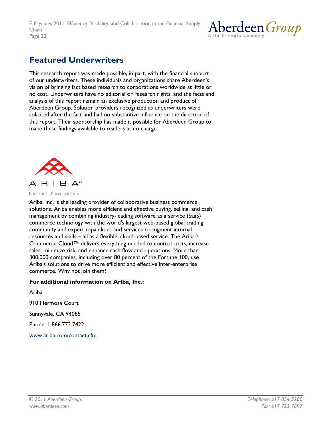

## <span id="page-21-0"></span>**Featured Underwriters**

This research report was made possible, in part, with the financial support of our underwriters. These individuals and organizations share Aberdeen's vision of bringing fact based research to corporations worldwide at little or no cost. Underwriters have no editorial or research rights, and the facts and analysis of this report remain an exclusive production and product of Aberdeen Group. Solution providers recognized as underwriters were solicited after the fact and had no substantive influence on the direction of this report. Their sponsorship has made it possible for Aberdeen Group to make these findings available to readers at no charge.



#### Better Commerce.

Ariba, Inc. is the leading provider of collaborative business commerce solutions. Ariba enables more efficient and effective buying, selling, and cash management by combining industry-leading software as a service (SaaS) commerce technology with the world's largest web-based global trading community and expert capabilities and services to augment internal resources and skills – all as a flexible, cloud-based service. The Ariba® Commerce Cloud™ delivers everything needed to control costs, increase sales, minimize risk, and enhance cash flow and operations. More than 300,000 companies, including over 80 percent of the Fortune 100, use Ariba's solutions to drive more efficient and effective inter-enterprise commerce. Why not join them?

#### **For additional information on Ariba, Inc.:**

Ariba

910 Hermosa Court

Sunnyvale, CA 94085

Phone: 1.866.772.7422

[www.ariba.com/contact.cfm](http://www.ariba.com/contact.cfm)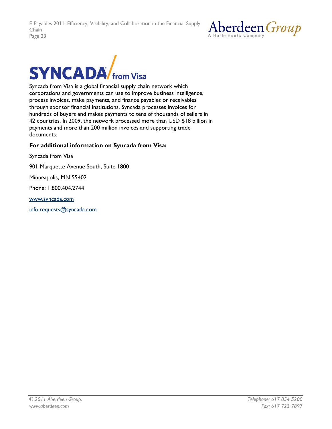



Syncada from Visa is a global financial supply chain network which corporations and governments can use to improve business intelligence, process invoices, make payments, and finance payables or receivables through sponsor financial institutions. Syncada processes invoices for hundreds of buyers and makes payments to tens of thousands of sellers in 42 countries. In 2009, the network processed more than USD \$18 billion in payments and more than 200 million invoices and supporting trade documents.

#### **For additional information on Syncada from Visa:**

Syncada from Visa

901 Marquette Avenue South, Suite 1800

Minneapolis, MN 55402

Phone: 1.800.404.2744

[www.syncada.com](http://www.syncada.com/)

[info.requests@syncada.com](mailto:info.requests@syncada.com)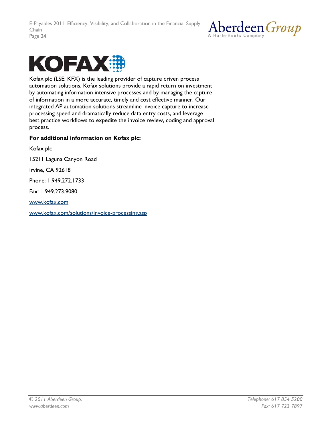



Kofax plc (LSE: KFX) is the leading provider of capture driven process automation solutions. Kofax solutions provide a rapid return on investment by automating information intensive processes and by managing the capture of information in a more accurate, timely and cost effective manner. Our integrated AP automation solutions streamline invoice capture to increase processing speed and dramatically reduce data entry costs, and leverage best practice workflows to expedite the invoice review, coding and approval process.

#### **For additional information on Kofax plc:**

Kofax plc 15211 Laguna Canyon Road Irvine, CA 92618 Phone: 1.949.272.1733 Fax: 1.949.273.9080 [www.kofax.com](http://www.kofax.com/) [www.kofax.com/solutions/invoice-processing.asp](http://www.kofax.com/solutions/invoice-processing.asp)